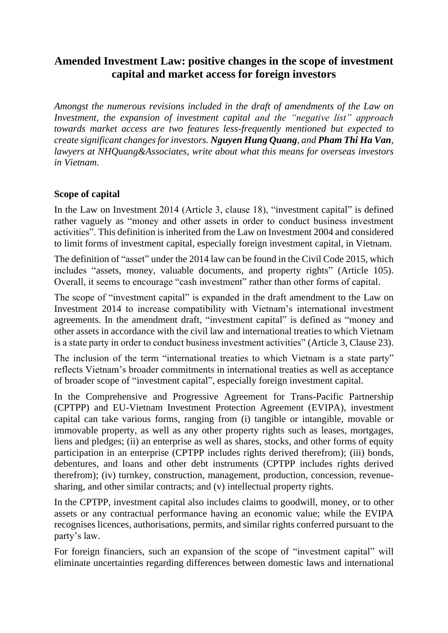## **Amended Investment Law: positive changes in the scope of investment capital and market access for foreign investors**

*Amongst the numerous revisions included in the draft of amendments of the Law on Investment, the expansion of investment capital and the "negative list" approach towards market access are two features less-frequently mentioned but expected to create significant changes for investors. Nguyen Hung Quang, and Pham Thi Ha Van, lawyers at NHQuang&Associates, write about what this means for overseas investors in Vietnam.* 

## **Scope of capital**

In the Law on Investment 2014 (Article 3, clause 18), "investment capital" is defined rather vaguely as "money and other assets in order to conduct business investment activities". This definition is inherited from the Law on Investment 2004 and considered to limit forms of investment capital, especially foreign investment capital, in Vietnam.

The definition of "asset" under the 2014 law can be found in the Civil Code 2015, which includes "assets, money, valuable documents, and property rights" (Article 105). Overall, it seems to encourage "cash investment" rather than other forms of capital.

The scope of "investment capital" is expanded in the draft amendment to the Law on Investment 2014 to increase compatibility with Vietnam's international investment agreements. In the amendment draft, "investment capital" is defined as "money and other assets in accordance with the civil law and international treaties to which Vietnam is a state party in order to conduct business investment activities" (Article 3, Clause 23).

The inclusion of the term "international treaties to which Vietnam is a state party" reflects Vietnam's broader commitments in international treaties as well as acceptance of broader scope of "investment capital", especially foreign investment capital.

In the Comprehensive and Progressive Agreement for Trans-Pacific Partnership (CPTPP) and EU-Vietnam Investment Protection Agreement (EVIPA), investment capital can take various forms, ranging from (i) tangible or intangible, movable or immovable property, as well as any other property rights such as leases, mortgages, liens and pledges; (ii) an enterprise as well as shares, stocks, and other forms of equity participation in an enterprise (CPTPP includes rights derived therefrom); (iii) bonds, debentures, and loans and other debt instruments (CPTPP includes rights derived therefrom); (iv) turnkey, construction, management, production, concession, revenuesharing, and other similar contracts; and (v) intellectual property rights.

In the CPTPP, investment capital also includes claims to goodwill, money, or to other assets or any contractual performance having an economic value; while the EVIPA recognises licences, authorisations, permits, and similar rights conferred pursuant to the party's law.

For foreign financiers, such an expansion of the scope of "investment capital" will eliminate uncertainties regarding differences between domestic laws and international